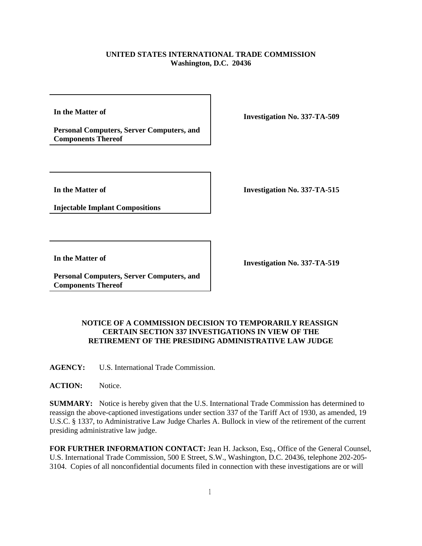## **UNITED STATES INTERNATIONAL TRADE COMMISSION Washington, D.C. 20436**

**In the Matter of** 

**Personal Computers, Server Computers, and Components Thereof**

**Investigation No. 337-TA-509**

**In the Matter of** 

**Injectable Implant Compositions**

**Investigation No. 337-TA-515**

**In the Matter of** 

**Personal Computers, Server Computers, and Components Thereof**

**Investigation No. 337-TA-519**

## **NOTICE OF A COMMISSION DECISION TO TEMPORARILY REASSIGN CERTAIN SECTION 337 INVESTIGATIONS IN VIEW OF THE RETIREMENT OF THE PRESIDING ADMINISTRATIVE LAW JUDGE**

**AGENCY:** U.S. International Trade Commission.

**ACTION:** Notice.

**SUMMARY:** Notice is hereby given that the U.S. International Trade Commission has determined to reassign the above-captioned investigations under section 337 of the Tariff Act of 1930, as amended, 19 U.S.C. § 1337, to Administrative Law Judge Charles A. Bullock in view of the retirement of the current presiding administrative law judge.

**FOR FURTHER INFORMATION CONTACT:** Jean H. Jackson, Esq., Office of the General Counsel, U.S. International Trade Commission, 500 E Street, S.W., Washington, D.C. 20436, telephone 202-205- 3104. Copies of all nonconfidential documents filed in connection with these investigations are or will